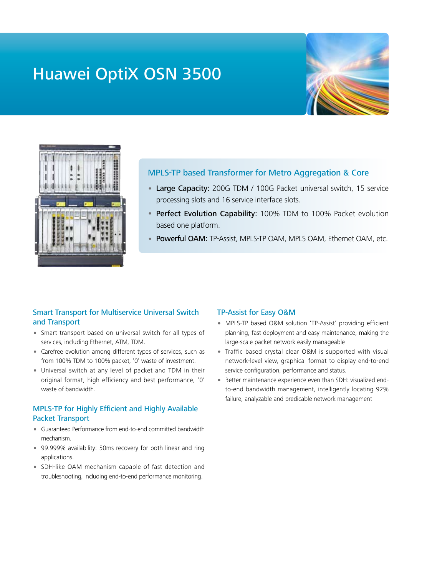# Huawei OptiX OSN 3500





## MPLS-TP based Transformer for Metro Aggregation & Core

- Large Capacity: 200G TDM / 100G Packet universal switch, 15 service processing slots and 16 service interface slots.
- Perfect Evolution Capability: 100% TDM to 100% Packet evolution based one platform.
- Powerful OAM: TP-Assist, MPLS-TP OAM, MPLS OAM, Ethernet OAM, etc.

#### Smart Transport for Multiservice Universal Switch and Transport

- Smart transport based on universal switch for all types of services, including Ethernet, ATM, TDM.
- Carefree evolution among different types of services, such as from 100% TDM to 100% packet, '0' waste of investment.
- Universal switch at any level of packet and TDM in their original format, high efficiency and best performance, '0' waste of bandwidth.

### MPLS-TP for Highly Efficient and Highly Available Packet Transport

- Guaranteed Performance from end-to-end committed bandwidth mechanism.
- 99.999% availability: 50ms recovery for both linear and ring applications.
- SDH-like OAM mechanism capable of fast detection and troubleshooting, including end-to-end performance monitoring.

#### TP-Assist for Easy O&M

- MPLS-TP based O&M solution 'TP-Assist' providing efficient planning, fast deployment and easy maintenance, making the large-scale packet network easily manageable
- Traffic based crystal clear O&M is supported with visual network-level view, graphical format to display end-to-end service configuration, performance and status.
- Better maintenance experience even than SDH: visualized endto-end bandwidth management, intelligently locating 92% failure, analyzable and predicable network management